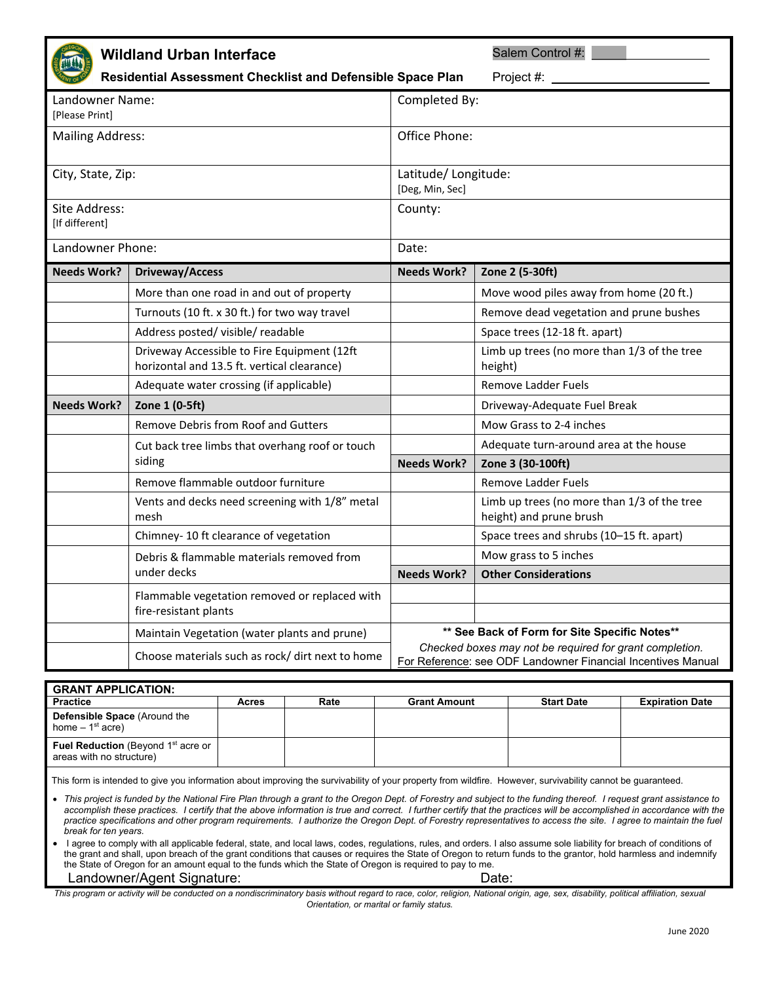|                                   | <b>Wildland Urban Interface</b><br>Residential Assessment Checklist and Defensible Space Plan |                                        | Salem Control #:<br>Project #: _                                                                                        |  |
|-----------------------------------|-----------------------------------------------------------------------------------------------|----------------------------------------|-------------------------------------------------------------------------------------------------------------------------|--|
| Landowner Name:<br>[Please Print] |                                                                                               | Completed By:                          |                                                                                                                         |  |
| <b>Mailing Address:</b>           |                                                                                               | Office Phone:                          |                                                                                                                         |  |
| City, State, Zip:                 |                                                                                               | Latitude/Longitude:<br>[Deg, Min, Sec] |                                                                                                                         |  |
| Site Address:<br>[If different]   |                                                                                               | County:                                |                                                                                                                         |  |
| Landowner Phone:                  |                                                                                               | Date:                                  |                                                                                                                         |  |
| <b>Needs Work?</b>                | <b>Driveway/Access</b>                                                                        | <b>Needs Work?</b>                     | Zone 2 (5-30ft)                                                                                                         |  |
|                                   | More than one road in and out of property                                                     |                                        | Move wood piles away from home (20 ft.)                                                                                 |  |
|                                   | Turnouts (10 ft. x 30 ft.) for two way travel                                                 |                                        | Remove dead vegetation and prune bushes                                                                                 |  |
|                                   | Address posted/visible/readable                                                               |                                        | Space trees (12-18 ft. apart)                                                                                           |  |
|                                   | Driveway Accessible to Fire Equipment (12ft<br>horizontal and 13.5 ft. vertical clearance)    |                                        | Limb up trees (no more than 1/3 of the tree<br>height)                                                                  |  |
|                                   | Adequate water crossing (if applicable)                                                       |                                        | Remove Ladder Fuels                                                                                                     |  |
| <b>Needs Work?</b>                | Zone 1 (0-5ft)                                                                                |                                        | Driveway-Adequate Fuel Break                                                                                            |  |
|                                   | Remove Debris from Roof and Gutters                                                           |                                        | Mow Grass to 2-4 inches                                                                                                 |  |
|                                   | Cut back tree limbs that overhang roof or touch                                               |                                        | Adequate turn-around area at the house                                                                                  |  |
|                                   | siding                                                                                        | <b>Needs Work?</b>                     | Zone 3 (30-100ft)                                                                                                       |  |
|                                   | Remove flammable outdoor furniture                                                            |                                        | Remove Ladder Fuels                                                                                                     |  |
|                                   | Vents and decks need screening with 1/8" metal<br>mesh                                        |                                        | Limb up trees (no more than 1/3 of the tree<br>height) and prune brush                                                  |  |
|                                   | Chimney- 10 ft clearance of vegetation                                                        |                                        | Space trees and shrubs (10-15 ft. apart)                                                                                |  |
|                                   | Debris & flammable materials removed from                                                     |                                        | Mow grass to 5 inches                                                                                                   |  |
|                                   | under decks                                                                                   | <b>Needs Work?</b>                     | <b>Other Considerations</b>                                                                                             |  |
|                                   | Flammable vegetation removed or replaced with<br>fire-resistant plants                        |                                        |                                                                                                                         |  |
|                                   | Maintain Vegetation (water plants and prune)                                                  |                                        | ** See Back of Form for Site Specific Notes**                                                                           |  |
|                                   | Choose materials such as rock/ dirt next to home                                              |                                        | Checked boxes may not be required for grant completion.<br>For Reference: see ODF Landowner Financial Incentives Manual |  |

| <b>GRANT APPLICATION:</b>                                                         |       |      |                     |                   |                        |  |  |  |
|-----------------------------------------------------------------------------------|-------|------|---------------------|-------------------|------------------------|--|--|--|
| <b>Practice</b>                                                                   | Acres | Rate | <b>Grant Amount</b> | <b>Start Date</b> | <b>Expiration Date</b> |  |  |  |
| <b>Defensible Space (Around the</b><br>home $-1st$ acre)                          |       |      |                     |                   |                        |  |  |  |
| <b>Fuel Reduction</b> (Beyond 1 <sup>st</sup> acre or<br>areas with no structure) |       |      |                     |                   |                        |  |  |  |

This form is intended to give you information about improving the survivability of your property from wildfire. However, survivability cannot be guaranteed.

• This project is funded by the National Fire Plan through a grant to the Oregon Dept. of Forestry and subject to the funding thereof. I request grant assistance to accomplish these practices. I certify that the above information is true and correct. I further certify that the practices will be accomplished in accordance with the *practice specifications and other program requirements. I authorize the Oregon Dept. of Forestry representatives to access the site. I agree to maintain the fuel break for ten years.* 

I agree to comply with all applicable federal, state, and local laws, codes, regulations, rules, and orders. I also assume sole liability for breach of conditions of the grant and shall, upon breach of the grant conditions that causes or requires the State of Oregon to return funds to the grantor, hold harmless and indemnify the State of Oregon for an amount equal to the funds which the State of Oregon is required to pay to me.

Landowner/Agent Signature: Date: Date:

*This program or activity will be conducted on a nondiscriminatory basis without regard to race, color, religion, National origin, age, sex, disability, political affiliation, sexual Orientation, or marital or family status.*